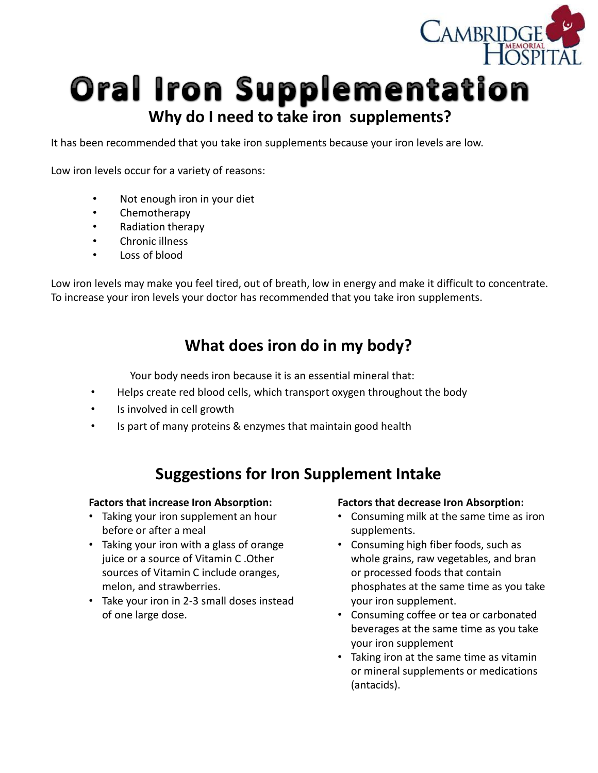

# **Oral Iron Supplementation Why do I need to take iron supplements?**

It has been recommended that you take iron supplements because your iron levels are low.

Low iron levels occur for a variety of reasons:

- Not enough iron in your diet
- Chemotherapy
- Radiation therapy
- Chronic illness
- Loss of blood

Low iron levels may make you feel tired, out of breath, low in energy and make it difficult to concentrate. To increase your iron levels your doctor has recommended that you take iron supplements.

### **What does iron do in my body?**

Your body needs iron because it is an essential mineral that:

- Helps create red blood cells, which transport oxygen throughout the body
- Is involved in cell growth
- Is part of many proteins & enzymes that maintain good health

### **Suggestions for Iron Supplement Intake**

#### **Factors that increase Iron Absorption:**

- Taking your iron supplement an hour before or after a meal
- Taking your iron with a glass of orange juice or a source of Vitamin C .Other sources of Vitamin C include oranges, melon, and strawberries.
- Take your iron in 2-3 small doses instead of one large dose.

#### **Factors that decrease Iron Absorption:**

- Consuming milk at the same time as iron supplements.
- Consuming high fiber foods, such as whole grains, raw vegetables, and bran or processed foods that contain phosphates at the same time as you take your iron supplement.
- Consuming coffee or tea or carbonated beverages at the same time as you take your iron supplement
- Taking iron at the same time as vitamin or mineral supplements or medications (antacids).